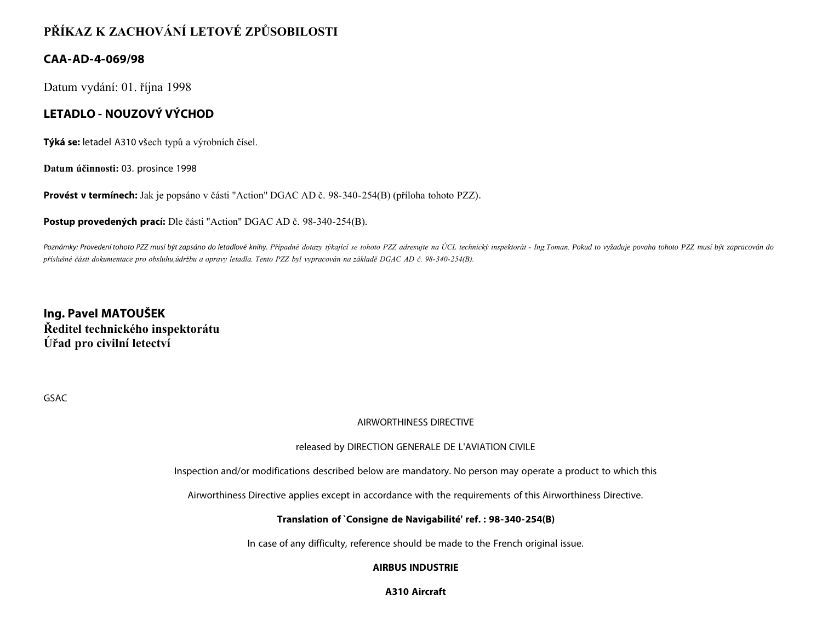# **PŘÍKAZ K ZACHOVÁNÍ LETOVÉ ZPŮSOBILOSTI**

# **CAA-AD-4-069/98**

Datum vydání: 01. října 1998

# **LETADLO - NOUZOVÝ VÝCHOD**

**Týká se:** letadel A310 všech typů a výrobních čísel.

**Datum účinnosti:** 03. prosince 1998

**Provést v termínech:** Jak je popsáno v části "Action" DGAC AD č. 98-340-254(B) (příloha tohoto PZZ).

**Postup provedených prací:** Dle části "Action" DGAC AD č. 98-340-254(B).

Poznámky: Provedení tohoto PZZ musí být zapsáno do letadlové knihy. Případné dotazy týkající se tohoto PZZ adresujte na ÚCL technický inspektorát - Ing.Toman. Pokud to vyžaduje povaha tohoto PZZ musí být zapracován do *příslušné části dokumentace pro obsluhu,údržbu a opravy letadla. Tento PZZ byl vypracován na základě DGAC AD č. 98-340-254(B).*

**Ing. Pavel MATOUŠEK Ředitel technického inspektorátu Úřad pro civilní letectví**

GSAC

#### AIRWORTHINESS DIRECTIVE

#### released by DIRECTION GENERALE DE L'AVIATION CIVILE

Inspection and/or modifications described below are mandatory. No person may operate a product to which this

Airworthiness Directive applies except in accordance with the requirements of this Airworthiness Directive.

#### **Translation of `Consigne de Navigabilité' ref. : 98-340-254(B)**

In case of any difficulty, reference should be made to the French original issue.

#### **AIRBUS INDUSTRIE**

**A310 Aircraft**